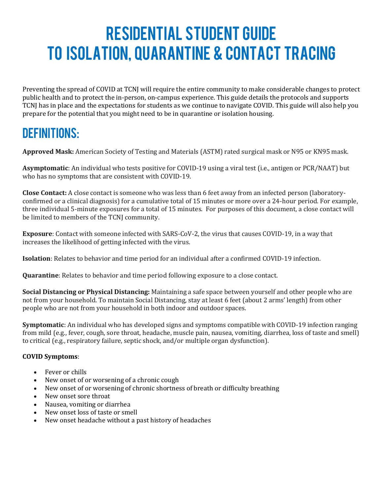# Residential Student Guide To Isolation, Quarantine & Contact Tracing

Preventing the spread of COVID at TCNJ will require the entire community to make considerable changes to protect public health and to protect the in-person, on-campus experience. This guide details the protocols and supports TCNJ has in place and the expectations for students as we continue to navigate COVID. This guide will also help you prepare for the potential that you might need to be in quarantine or isolation housing.

## DEFINITIONS:

**Approved Mask:** American Society of Testing and Materials (ASTM) rated surgical mask or N95 or KN95 mask.

**Asymptomatic**: An individual who tests positive for COVID-19 using a viral test (i.e., antigen or PCR/NAAT) but who has no symptoms that are consistent with COVID-19.

**Close Contact:** A close contact is someone who was less than 6 feet away from an infected person (laboratoryconfirmed or a clinical diagnosis) for a cumulative total of 15 minutes or more over a 24-hour period. For example, three individual 5-minute exposures for a total of 15 minutes. For purposes of this document, a close contact will be limited to members of the TCNJ community.

**Exposure**: Contact with someone infected with SARS-CoV-2, the virus that causes COVID-19, in a way that increases the likelihood of getting infected with the virus.

**Isolation**: Relates to behavior and time period for an individual after a confirmed COVID-19 infection.

**Quarantine**: Relates to behavior and time period following exposure to a close contact.

**Social Distancing or Physical Distancing:** Maintaining a safe space between yourself and other people who are not from your household. To maintain Social Distancing, stay at least 6 feet (about 2 arms' length) from other people who are not from your household in both indoor and outdoor spaces.

**Symptomatic**: An individual who has developed signs and symptoms compatible with COVID-19 infection ranging from mild (e.g., fever, cough, sore throat, headache, muscle pain, nausea, vomiting, diarrhea, loss of taste and smell) to critical (e.g., respiratory failure, septic shock, and/or multiple organ dysfunction).

#### **COVID Symptoms**:

- Fever or chills
- New onset of or worsening of a chronic cough
- New onset of or worsening of chronic shortness of breath or difficulty breathing
- New onset sore throat
- Nausea, vomiting or diarrhea
- New onset loss of taste or smell
- New onset headache without a past history of headaches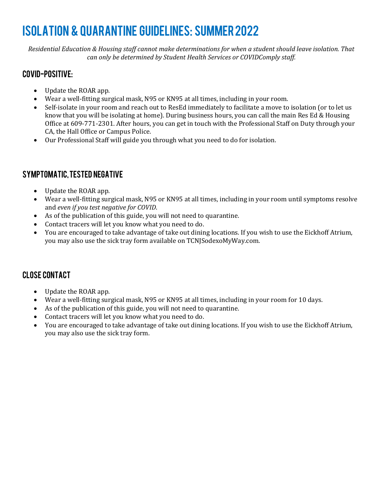## Isolation & quarantine guidelines: SUMMER2022

*Residential Education & Housing staff cannot make determinations for when a student should leave isolation. That can only be determined by Student Health Services or COVIDComply staff.*

### COVID-positive:

- Update the ROAR app.
- Wear a well-fitting surgical mask, N95 or KN95 at all times, including in your room.
- Self-isolate in your room and reach out to ResEd immediately to facilitate a move to isolation (or to let us know that you will be isolating at home). During business hours, you can call the main Res Ed & Housing Office at 609-771-2301. After hours, you can get in touch with the Professional Staff on Duty through your CA, the Hall Office or Campus Police.
- Our Professional Staff will guide you through what you need to do for isolation.

### SYMPTOMATIC, TESTED NEGATIVE

- Update the ROAR app.
- Wear a well-fitting surgical mask, N95 or KN95 at all times, including in your room until symptoms resolve and *even if you test negative for COVID*.
- As of the publication of this guide, you will not need to quarantine.
- Contact tracers will let you know what you need to do.
- You are encouraged to take advantage of take out dining locations. If you wish to use the Eickhoff Atrium, you may also use the sick tray form available on TCNJSodexoMyWay.com.

### CLOSE CONTACT

- Update the ROAR app.
- Wear a well-fitting surgical mask, N95 or KN95 at all times, including in your room for 10 days.
- As of the publication of this guide, you will not need to quarantine.
- Contact tracers will let you know what you need to do.
- You are encouraged to take advantage of take out dining locations. If you wish to use the Eickhoff Atrium, you may also use the sick tray form.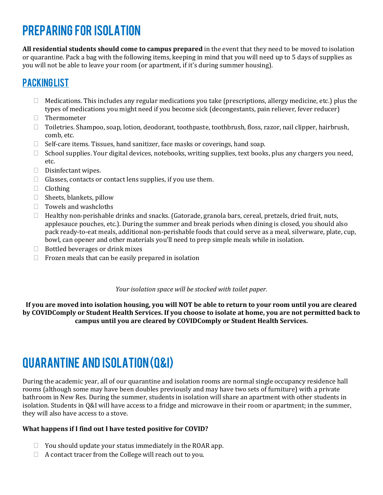## PREPARING FOR ISOLATION

**All residential students should come to campus prepared** in the event that they need to be moved to isolation or quarantine. Pack a bag with the following items, keeping in mind that you will need up to 5 days of supplies as you will not be able to leave your room (or apartment, if it's during summer housing).

### **PACKINGLIST**

- $\Box$  Medications. This includes any regular medications you take (prescriptions, allergy medicine, etc.) plus the types of medications you might need if you become sick (decongestants, pain reliever, fever reducer)
- □ Thermometer
- Toiletries. Shampoo, soap, lotion, deodorant, toothpaste, toothbrush, floss, razor, nail clipper, hairbrush, comb, etc.
- □ Self-care items. Tissues, hand sanitizer, face masks or coverings, hand soap.
- $\Box$  School supplies. Your digital devices, notebooks, writing supplies, text books, plus any chargers you need, etc.
- $\Box$  Disinfectant wipes.
- $\Box$  Glasses, contacts or contact lens supplies, if you use them.
- $\Box$  Clothing
- $\Box$  Sheets, blankets, pillow
- Towels and washcloths
- $\Box$  Healthy non-perishable drinks and snacks. (Gatorade, granola bars, cereal, pretzels, dried fruit, nuts, applesauce pouches, etc.). During the summer and break periods when dining is closed, you should also pack ready-to-eat meals, additional non-perishable foods that could serve as a meal, silverware, plate, cup, bowl, can opener and other materials you'll need to prep simple meals while in isolation.
- $\Box$  Bottled beverages or drink mixes
- $\Box$  Frozen meals that can be easily prepared in isolation

*Your isolation space will be stocked with toilet paper.*

**If you are moved into isolation housing, you will NOT be able to return to your room until you are cleared by COVIDComply or Student Health Services. If you choose to isolate at home, you are not permitted back to campus until you are cleared by COVIDComply or Student Health Services.** 

## QUARANTINE AND ISOLATION (Q&I)

During the academic year, all of our quarantine and isolation rooms are normal single occupancy residence hall rooms (although some may have been doubles previously and may have two sets of furniture) with a private bathroom in New Res. During the summer, students in isolation will share an apartment with other students in isolation. Students in Q&I will have access to a fridge and microwave in their room or apartment; in the summer, they will also have access to a stove.

#### **What happens if I find out I have tested positive for COVID?**

- $\Box$  You should update your status immediately in the ROAR app.
- $\Box$  A contact tracer from the College will reach out to you.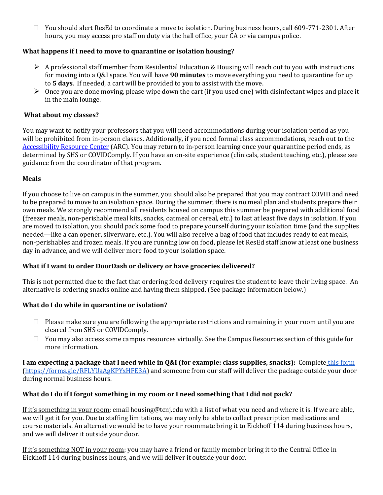$\Box$  You should alert ResEd to coordinate a move to isolation. During business hours, call 609-771-2301. After hours, you may access pro staff on duty via the hall office, your CA or via campus police.

#### **What happens if I need to move to quarantine or isolation housing?**

- $\triangleright$  A professional staff member from Residential Education & Housing will reach out to you with instructions for moving into a Q&I space. You will have **90 minutes** to move everything you need to quarantine for up to **5 days**. If needed, a cart will be provided to you to assist with the move.
- $\triangleright$  Once you are done moving, please wipe down the cart (if you used one) with disinfectant wipes and place it in the main lounge.

#### **What about my classes?**

You may want to notify your professors that you will need accommodations during your isolation period as you will be prohibited from in-person classes. Additionally, if you need formal class accommodations, reach out to the [Accessibility Resource Center](https://arc.tcnj.edu/) (ARC). You may return to in-person learning once your quarantine period ends, as determined by SHS or COVIDComply. If you have an on-site experience (clinicals, student teaching, etc.), please see guidance from the coordinator of that program.

#### **Meals**

If you choose to live on campus in the summer, you should also be prepared that you may contract COVID and need to be prepared to move to an isolation space. During the summer, there is no meal plan and students prepare their own meals. We strongly recommend all residents housed on campus this summer be prepared with additional food (freezer meals, non-perishable meal kits, snacks, oatmeal or cereal, etc.) to last at least five days in isolation. If you are moved to isolation, you should pack some food to prepare yourself during your isolation time (and the supplies needed—like a can opener, silverware, etc.). You will also receive a bag of food that includes ready to eat meals, non-perishables and frozen meals. If you are running low on food, please let ResEd staff know at least one business day in advance, and we will deliver more food to your isolation space.

#### **What if I want to order DoorDash or delivery or have groceries delivered?**

This is not permitted due to the fact that ordering food delivery requires the student to leave their living space. An alternative is ordering snacks online and having them shipped. (See package information below.)

#### **What do I do while in quarantine or isolation?**

- $\Box$  Please make sure you are following the appropriate restrictions and remaining in your room until you are cleared from SHS or COVIDComply.
- □ You may also access some campus resources virtually. See the Campus Resources section of this guide for more information.

**I am expecting a package that I need while in Q&I (for example: class supplies, snacks):** Complete [this form](https://forms.gle/RFLYUaAgKPYxHFE3A) [\(https://forms.gle/RFLYUaAgKPYxHFE3A\)](https://forms.gle/RFLYUaAgKPYxHFE3A) and someone from our staff will deliver the package outside your door during normal business hours.

#### **What do I do if I forgot something in my room or I need something that I did not pack?**

If it's something in your room: email housing@tcnj.edu with a list of what you need and where it is. If we are able, we will get it for you. Due to staffing limitations, we may only be able to collect prescription medications and course materials. An alternative would be to have your roommate bring it to Eickhoff 114 during business hours, and we will deliver it outside your door.

If it's something NOT in your room: you may have a friend or family member bring it to the Central Office in Eickhoff 114 during business hours, and we will deliver it outside your door.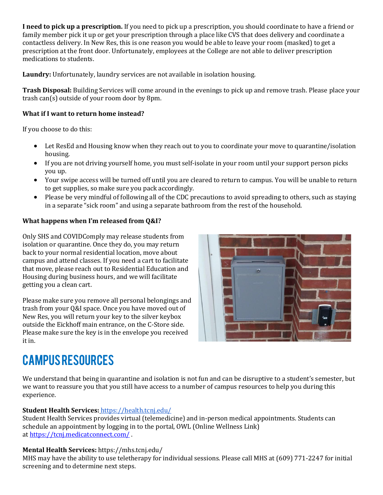**I need to pick up a prescription.** If you need to pick up a prescription, you should coordinate to have a friend or family member pick it up or get your prescription through a place like CVS that does delivery and coordinate a contactless delivery. In New Res, this is one reason you would be able to leave your room (masked) to get a prescription at the front door. Unfortunately, employees at the College are not able to deliver prescription medications to students.

**Laundry:** Unfortunately, laundry services are not available in isolation housing.

**Trash Disposal:** Building Services will come around in the evenings to pick up and remove trash. Please place your trash can(s) outside of your room door by 8pm.

#### **What if I want to return home instead?**

If you choose to do this:

- Let ResEd and Housing know when they reach out to you to coordinate your move to quarantine/isolation housing.
- If you are not driving yourself home, you must self-isolate in your room until your support person picks you up.
- Your swipe access will be turned off until you are cleared to return to campus. You will be unable to return to get supplies, so make sure you pack accordingly.
- Please be very mindful of following all of the CDC precautions to avoid spreading to others, such as staying in a separate "sick room" and using a separate bathroom from the rest of the household.

#### **What happens when I'm released from Q&I?**

Only SHS and COVIDComply may release students from isolation or quarantine. Once they do, you may return back to your normal residential location, move about campus and attend classes. If you need a cart to facilitate that move, please reach out to Residential Education and Housing during business hours, and we will facilitate getting you a clean cart.

Please make sure you remove all personal belongings and trash from your Q&I space. Once you have moved out of New Res, you will return your key to the silver keybox outside the Eickhoff main entrance, on the C-Store side. Please make sure the key is in the envelope you received it in.



## CAMPUS RESOURCES

We understand that being in quarantine and isolation is not fun and can be disruptive to a student's semester, but we want to reassure you that you still have access to a number of campus resources to help you during this experience.

#### **Student Health Services:** <https://health.tcnj.edu/>

Student Health Services provides virtual (telemedicine) and in-person medical appointments. Students can schedule an appointment by logging in to the portal, OWL (Online Wellness Link) at [https://tcnj.medicatconnect.com/](https://www.google.com/url?q=https://tcnj.medicatconnect.com/&sa=D&ust=1610723462288000&usg=AOvVaw3XNUPx9TlRNjBi6YZl-l66) .

#### **Mental Health Services:** https://mhs.tcnj.edu/

MHS may have the ability to use teletherapy for individual sessions. Please call MHS at (609) 771-2247 for initial screening and to determine next steps.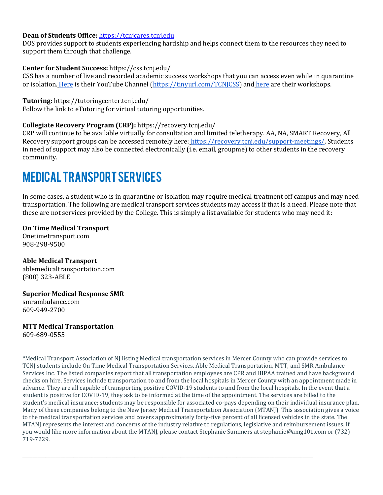#### **Dean of Students Office:** [https://tcnjcares.tcnj.edu](https://tcnjcares.tcnj.edu/)

DOS provides support to students experiencing hardship and helps connect them to the resources they need to support them through that challenge.

#### **Center for Student Success:** https://css.tcnj.edu/

CSS has a number of live and recorded academic success workshops that you can access even while in quarantine or isolation. [Here](https://www.youtube.com/channel/UCc85E1lNE-VbQP3MsCa9FbA?view_as=subscriber) is their YouTube Channel [\(https://tinyurl.com/TCNJCSS\)](https://tinyurl.com/TCNJCSS) and [here](https://css.tcnj.edu/academic-success-workshops/) are their workshops.

#### **Tutoring:** https://tutoringcenter.tcnj.edu/

Follow the link to eTutoring for virtual tutoring opportunities.

#### **Collegiate Recovery Program (CRP):** https://recovery.tcnj.edu/

CRP will continue to be available virtually for consultation and limited teletherapy. AA, NA, SMART Recovery, All Recovery support groups can be accessed remotely here: [https://recovery.tcnj.edu/support-meetings/.](https://recovery.tcnj.edu/support-meetings/) Students in need of support may also be connected electronically (i.e. email, groupme) to other students in the recovery community.

### MEDICAL TRANSPORT SERVICES

In some cases, a student who is in quarantine or isolation may require medical treatment off campus and may need transportation. The following are medical transport services students may access if that is a need. Please note that these are not services provided by the College. This is simply a list available for students who may need it:

#### **On Time Medical Transport**

Onetimetransport.com 908-298-9500

**Able Medical Transport** ablemedicaltransportation.com (800) 323-ABLE

#### **Superior Medical Response SMR**

smrambulance.com 609-949-2700

**MTT Medical Transportation** 609-689-0555

\*Medical Transport Association of NJ listing Medical transportation services in Mercer County who can provide services to TCNJ students include On Time Medical Transportation Services, Able Medical Transportation, MTT, and SMR Ambulance Services Inc. The listed companies report that all transportation employees are CPR and HIPAA trained and have background checks on hire. Services include transportation to and from the local hospitals in Mercer County with an appointment made in advance. They are all capable of transporting positive COVID-19 students to and from the local hospitals. In the event that a student is positive for COVID-19, they ask to be informed at the time of the appointment. The services are billed to the student's medical insurance; students may be responsible for associated co-pays depending on their individual insurance plan. Many of these companies belong to the New Jersey Medical Transportation Association (MTANJ). This association gives a voice to the medical transportation services and covers approximately forty-five percent of all licensed vehicles in the state. The MTANJ represents the interest and concerns of the industry relative to regulations, legislative and reimbursement issues. If you would like more information about the MTANJ, please contact Stephanie Summers at stephanie@amg101.com or (732) 719-7229.

\_\_\_\_\_\_\_\_\_\_\_\_\_\_\_\_\_\_\_\_\_\_\_\_\_\_\_\_\_\_\_\_\_\_\_\_\_\_\_\_\_\_\_\_\_\_\_\_\_\_\_\_\_\_\_\_\_\_\_\_\_\_\_\_\_\_\_\_\_\_\_\_\_\_\_\_\_\_\_\_\_\_\_\_\_\_\_\_\_\_\_\_\_\_\_\_\_\_\_\_\_\_\_\_\_\_\_\_\_\_\_\_\_\_